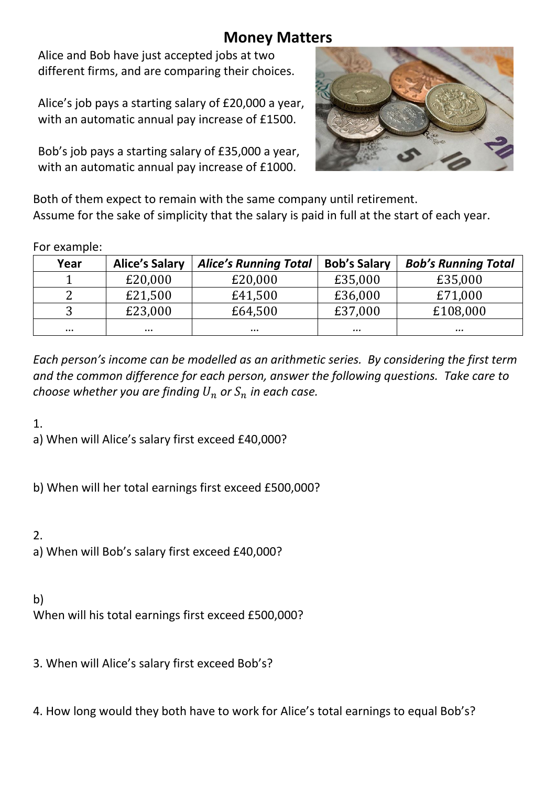## **Money Matters**

Alice and Bob have just accepted jobs at two different firms, and are comparing their choices.

Alice's job pays a starting salary of £20,000 a year, with an automatic annual pay increase of £1500.

Bob's job pays a starting salary of £35,000 a year, with an automatic annual pay increase of £1000.



Both of them expect to remain with the same company until retirement. Assume for the sake of simplicity that the salary is paid in full at the start of each year.

## For example:

| Year     | <b>Alice's Salary</b> | <b>Alice's Running Total</b> | <b>Bob's Salary</b> | <b>Bob's Running Total</b> |
|----------|-----------------------|------------------------------|---------------------|----------------------------|
|          | £20,000               | £20,000                      | £35,000             | £35,000                    |
|          | £21,500               | £41,500                      | £36,000             | £71,000                    |
|          | £23,000               | £64,500                      | £37,000             | £108,000                   |
| $\cdots$ | $\cdots$              | $\cdots$                     |                     |                            |

*Each person's income can be modelled as an arithmetic series. By considering the first term and the common difference for each person, answer the following questions. Take care to choose whether you are finding*  $U_n$  or  $S_n$  *in each case.* 

1.

a) When will Alice's salary first exceed £40,000?

b) When will her total earnings first exceed £500,000?

2.

a) When will Bob's salary first exceed £40,000?

b)

When will his total earnings first exceed £500,000?

3. When will Alice's salary first exceed Bob's?

4. How long would they both have to work for Alice's total earnings to equal Bob's?